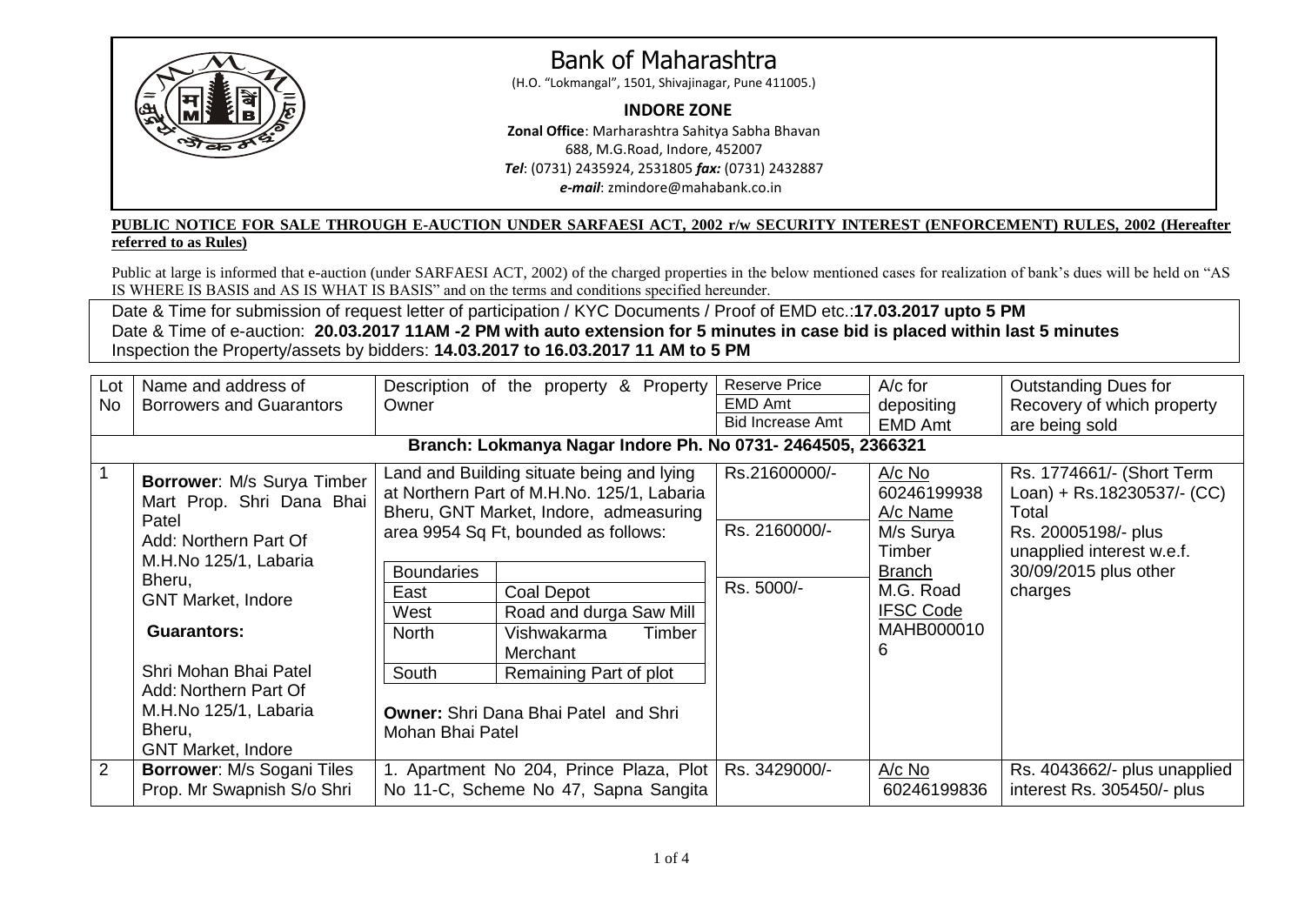

# Bank of Maharashtra

(H.O. "Lokmangal", 1501, Shivajinagar, Pune 411005.)

### **INDORE ZONE**

**Zonal Office**: Marharashtra Sahitya Sabha Bhavan 688, M.G.Road, Indore, 452007 *Tel*: (0731) 2435924, 2531805 *fax:* (0731) 2432887 *e-mail*: zmindore@mahabank.co.in

#### **PUBLIC NOTICE FOR SALE THROUGH E-AUCTION UNDER SARFAESI ACT, 2002 r/w SECURITY INTEREST (ENFORCEMENT) RULES, 2002 (Hereafter referred to as Rules)**

Public at large is informed that e-auction (under SARFAESI ACT, 2002) of the charged properties in the below mentioned cases for realization of bank's dues will be held on "AS IS WHERE IS BASIS and AS IS WHAT IS BASIS" and on the terms and conditions specified hereunder.

Date & Time for submission of request letter of participation / KYC Documents / Proof of EMD etc.:**17.03.2017 upto 5 PM** Date & Time of e-auction: **20.03.2017 11AM -2 PM with auto extension for 5 minutes in case bid is placed within last 5 minutes** Inspection the Property/assets by bidders: **14.03.2017 to 16.03.2017 11 AM to 5 PM**

| Lot<br>No      | Name and address of<br><b>Borrowers and Guarantors</b>                                                                                                                                                                                                                                                   | Description of the property & Property<br>Owner                                                                                                                                                                                                                                                                                                                                                                    | <b>Reserve Price</b><br>EMD Amt<br><b>Bid Increase Amt</b> | $A/c$ for<br>depositing                                                                                                         | <b>Outstanding Dues for</b><br>Recovery of which property                                                                                                |
|----------------|----------------------------------------------------------------------------------------------------------------------------------------------------------------------------------------------------------------------------------------------------------------------------------------------------------|--------------------------------------------------------------------------------------------------------------------------------------------------------------------------------------------------------------------------------------------------------------------------------------------------------------------------------------------------------------------------------------------------------------------|------------------------------------------------------------|---------------------------------------------------------------------------------------------------------------------------------|----------------------------------------------------------------------------------------------------------------------------------------------------------|
|                |                                                                                                                                                                                                                                                                                                          | Branch: Lokmanya Nagar Indore Ph. No 0731- 2464505, 2366321                                                                                                                                                                                                                                                                                                                                                        |                                                            | <b>EMD Amt</b>                                                                                                                  | are being sold                                                                                                                                           |
|                | <b>Borrower: M/s Surya Timber</b><br>Mart Prop. Shri Dana Bhai<br>Patel<br>Add: Northern Part Of<br>M.H.No 125/1, Labaria<br>Bheru,<br><b>GNT Market, Indore</b><br><b>Guarantors:</b><br>Shri Mohan Bhai Patel<br>Add: Northern Part Of<br>M.H.No 125/1, Labaria<br>Bheru,<br><b>GNT Market, Indore</b> | Land and Building situate being and lying<br>at Northern Part of M.H.No. 125/1, Labaria<br>Bheru, GNT Market, Indore, admeasuring<br>area 9954 Sq Ft, bounded as follows:<br><b>Boundaries</b><br>East<br>Coal Depot<br>Road and durga Saw Mill<br>West<br><b>North</b><br>Vishwakarma<br>Timber<br>Merchant<br>South<br>Remaining Part of plot<br><b>Owner: Shri Dana Bhai Patel and Shri</b><br>Mohan Bhai Patel | Rs.21600000/-<br>Rs. 2160000/-<br>Rs. 5000/-               | $A/c$ No<br>60246199938<br>A/c Name<br>M/s Surya<br>Timber<br><b>Branch</b><br>M.G. Road<br><b>IFSC Code</b><br>MAHB000010<br>6 | Rs. 1774661/- (Short Term<br>Loan) + Rs.18230537/- (CC)<br>Total<br>Rs. 20005198/- plus<br>unapplied interest w.e.f.<br>30/09/2015 plus other<br>charges |
| $\overline{2}$ | <b>Borrower: M/s Sogani Tiles</b><br>Prop. Mr Swapnish S/o Shri                                                                                                                                                                                                                                          | 1. Apartment No 204, Prince Plaza, Plot<br>No 11-C, Scheme No 47, Sapna Sangita                                                                                                                                                                                                                                                                                                                                    | Rs. 3429000/-                                              | $A/c$ No<br>60246199836                                                                                                         | Rs. 4043662/- plus unapplied<br>interest Rs. 305450/- plus                                                                                               |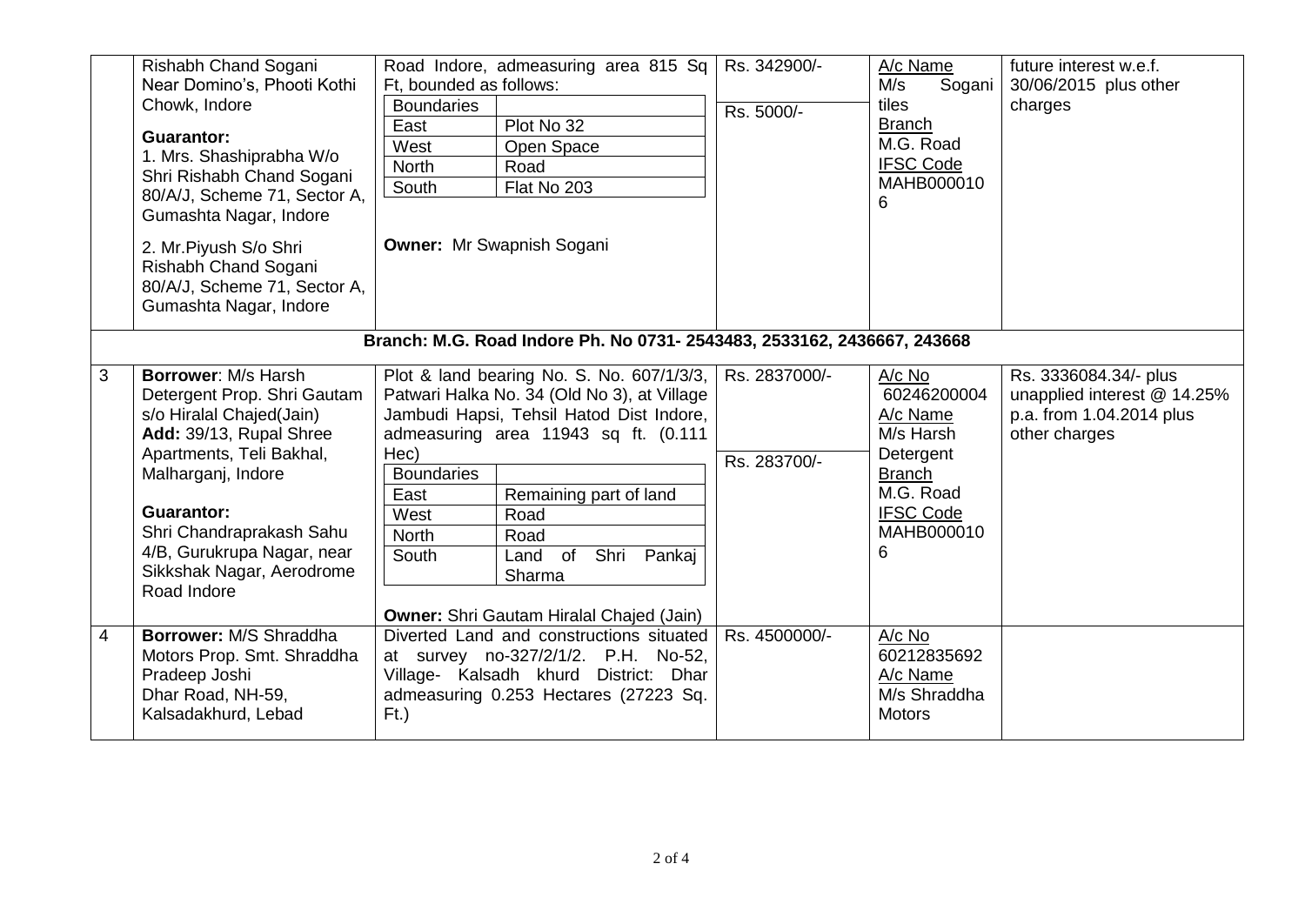|                                                                         | Rishabh Chand Sogani<br>Near Domino's, Phooti Kothi<br>Chowk, Indore<br>Guarantor:<br>1. Mrs. Shashiprabha W/o<br>Shri Rishabh Chand Sogani<br>80/A/J, Scheme 71, Sector A,<br>Gumashta Nagar, Indore<br>2. Mr. Piyush S/o Shri<br>Rishabh Chand Sogani | Road Indore, admeasuring area 815 Sq<br>Ft, bounded as follows:<br><b>Boundaries</b><br>Plot No 32<br>East<br>West<br>Open Space<br>North<br>Road<br>South<br>Flat No 203<br><b>Owner: Mr Swapnish Sogani</b> | Rs. 342900/-<br>Rs. 5000/-    | A/c Name<br>M/s<br>Sogani<br>tiles<br><b>Branch</b><br>M.G. Road<br><b>IFSC Code</b><br>MAHB000010<br>6 | future interest w.e.f.<br>30/06/2015 plus other<br>charges                                        |  |  |
|-------------------------------------------------------------------------|---------------------------------------------------------------------------------------------------------------------------------------------------------------------------------------------------------------------------------------------------------|---------------------------------------------------------------------------------------------------------------------------------------------------------------------------------------------------------------|-------------------------------|---------------------------------------------------------------------------------------------------------|---------------------------------------------------------------------------------------------------|--|--|
|                                                                         | 80/A/J, Scheme 71, Sector A,<br>Gumashta Nagar, Indore                                                                                                                                                                                                  |                                                                                                                                                                                                               |                               |                                                                                                         |                                                                                                   |  |  |
| Branch: M.G. Road Indore Ph. No 0731- 2543483, 2533162, 2436667, 243668 |                                                                                                                                                                                                                                                         |                                                                                                                                                                                                               |                               |                                                                                                         |                                                                                                   |  |  |
| 3                                                                       | <b>Borrower: M/s Harsh</b><br>Detergent Prop. Shri Gautam<br>s/o Hiralal Chajed(Jain)<br>Add: 39/13, Rupal Shree<br>Apartments, Teli Bakhal,                                                                                                            | Plot & land bearing No. S. No. 607/1/3/3,<br>Patwari Halka No. 34 (Old No 3), at Village<br>Jambudi Hapsi, Tehsil Hatod Dist Indore,<br>admeasuring area 11943 sq ft. (0.111<br>Hec)                          | Rs. 2837000/-<br>Rs. 283700/- | A/c No<br>60246200004<br>A/c Name<br>M/s Harsh<br>Detergent                                             | Rs. 3336084.34/- plus<br>unapplied interest @ 14.25%<br>p.a. from 1.04.2014 plus<br>other charges |  |  |
|                                                                         | Malharganj, Indore<br><b>Guarantor:</b><br>Shri Chandraprakash Sahu<br>4/B, Gurukrupa Nagar, near<br>Sikkshak Nagar, Aerodrome<br>Road Indore                                                                                                           | <b>Boundaries</b><br>East<br>Remaining part of land<br>West<br>Road<br><b>North</b><br>Road<br>Shri Pankaj<br>South<br>Land of<br>Sharma<br><b>Owner:</b> Shri Gautam Hiralal Chajed (Jain)                   |                               | <b>Branch</b><br>M.G. Road<br><b>IFSC Code</b><br>MAHB000010<br>6                                       |                                                                                                   |  |  |
| $\overline{4}$                                                          | Borrower: M/S Shraddha<br>Motors Prop. Smt. Shraddha<br>Pradeep Joshi<br>Dhar Road, NH-59,<br>Kalsadakhurd, Lebad                                                                                                                                       | Diverted Land and constructions situated<br>at survey no-327/2/1/2. P.H. No-52,<br>Village- Kalsadh khurd District: Dhar<br>admeasuring 0.253 Hectares (27223 Sq.<br>$Ft$ )                                   | Rs. 4500000/-                 | A/c No<br>60212835692<br>A/c Name<br>M/s Shraddha<br><b>Motors</b>                                      |                                                                                                   |  |  |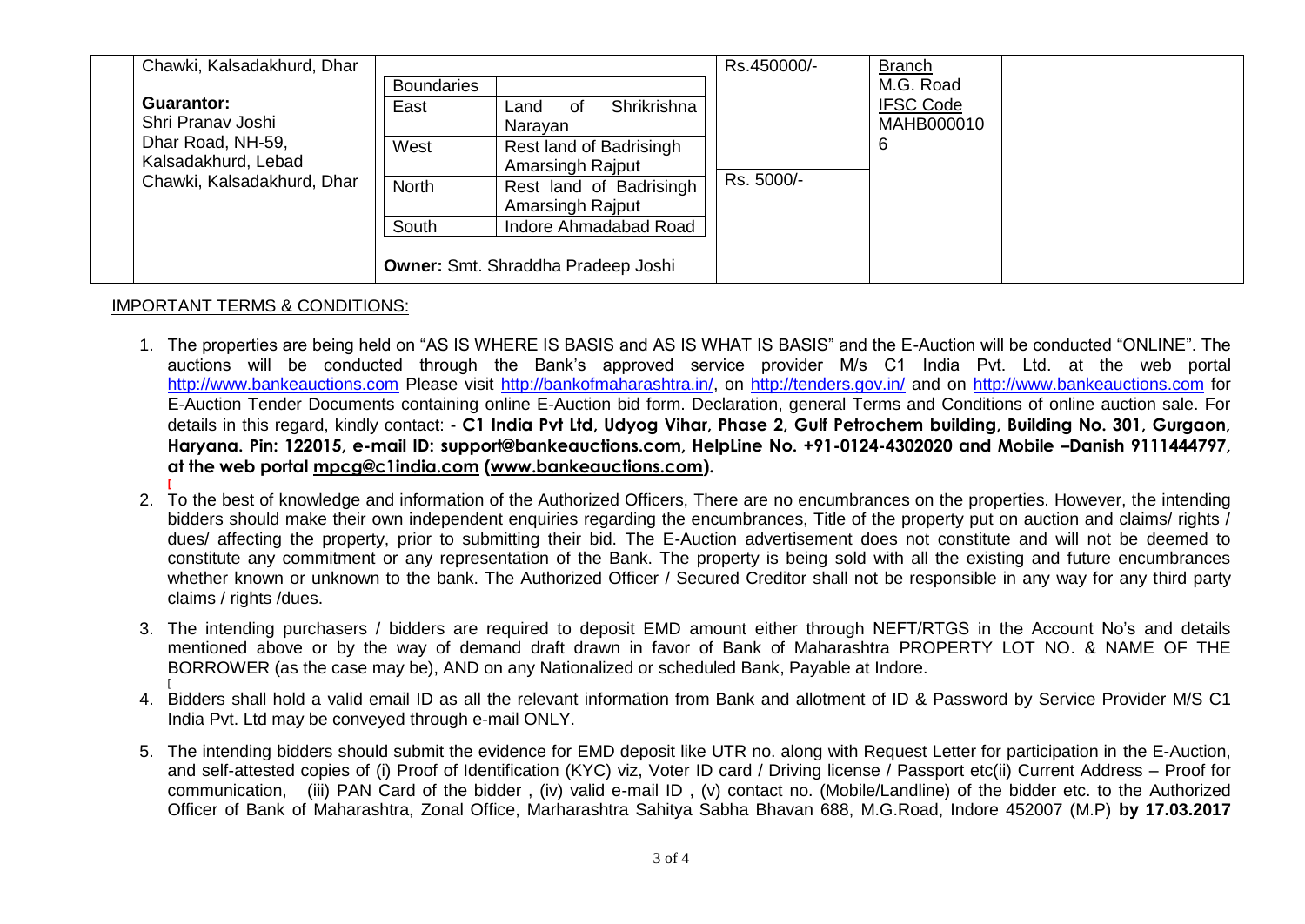|  | Chawki, Kalsadakhurd, Dhar                                                                  |                                           |                           | Rs.450000/- | <b>Branch</b>    |  |
|--|---------------------------------------------------------------------------------------------|-------------------------------------------|---------------------------|-------------|------------------|--|
|  |                                                                                             | <b>Boundaries</b>                         |                           |             | M.G. Road        |  |
|  | <b>Guarantor:</b>                                                                           | East                                      | Shrikrishna<br>Land<br>of |             | <b>IFSC Code</b> |  |
|  | Shri Pranav Joshi<br>Dhar Road, NH-59,<br>Kalsadakhurd, Lebad<br>Chawki, Kalsadakhurd, Dhar |                                           | Narayan                   |             | MAHB000010       |  |
|  |                                                                                             | West                                      | Rest land of Badrisingh   | Rs. 5000/-  | b                |  |
|  |                                                                                             |                                           | <b>Amarsingh Rajput</b>   |             |                  |  |
|  |                                                                                             | <b>North</b>                              | Rest land of Badrisingh   |             |                  |  |
|  |                                                                                             |                                           | Amarsingh Rajput          |             |                  |  |
|  |                                                                                             | South                                     | Indore Ahmadabad Road     |             |                  |  |
|  |                                                                                             |                                           |                           |             |                  |  |
|  |                                                                                             | <b>Owner:</b> Smt. Shraddha Pradeep Joshi |                           |             |                  |  |

## IMPORTANT TERMS & CONDITIONS:

- 1. The properties are being held on "AS IS WHERE IS BASIS and AS IS WHAT IS BASIS" and the E-Auction will be conducted "ONLINE". The auctions will be conducted through the Bank's approved service provider M/s C1 India Pvt. Ltd. at the web portal [http://www.bankeauctions.com](http://www.bankeauctions.com/) Please visit [http://bankofmaharashtra.in/,](http://bankofmaharashtra.in/) on<http://tenders.gov.in/> and on http://www.bankeauctions.com for E-Auction Tender Documents containing online E-Auction bid form. Declaration, general Terms and Conditions of online auction sale. For details in this regard, kindly contact: - **C1 India Pvt Ltd, Udyog Vihar, Phase 2, Gulf Petrochem building, Building No. 301, Gurgaon, Haryana. Pin: 122015, e-mail ID: support@bankeauctions.com, HelpLine No. +91-0124-4302020 and Mobile –Danish 9111444797, at the web portal [mpcg@c1india.com](mailto:mpcg@c1india.com) [\(www.bankeauctions.com\)](http://www.bankeauctions.com/).**
- 2. To the best of knowledge and information of the Authorized Officers, There are no encumbrances on the properties. However, the intending bidders should make their own independent enquiries regarding the encumbrances, Title of the property put on auction and claims/ rights / dues/ affecting the property, prior to submitting their bid. The E-Auction advertisement does not constitute and will not be deemed to constitute any commitment or any representation of the Bank. The property is being sold with all the existing and future encumbrances whether known or unknown to the bank. The Authorized Officer / Secured Creditor shall not be responsible in any way for any third party claims / rights /dues.
- 3. The intending purchasers / bidders are required to deposit EMD amount either through NEFT/RTGS in the Account No's and details mentioned above or by the way of demand draft drawn in favor of Bank of Maharashtra PROPERTY LOT NO. & NAME OF THE BORROWER (as the case may be), AND on any Nationalized or scheduled Bank, Payable at Indore. [
- 4. Bidders shall hold a valid email ID as all the relevant information from Bank and allotment of ID & Password by Service Provider M/S C1 India Pvt. Ltd may be conveyed through e-mail ONLY.
- 5. The intending bidders should submit the evidence for EMD deposit like UTR no. along with Request Letter for participation in the E-Auction, and self-attested copies of (i) Proof of Identification (KYC) viz, Voter ID card / Driving license / Passport etc(ii) Current Address – Proof for communication, (iii) PAN Card of the bidder , (iv) valid e-mail ID , (v) contact no. (Mobile/Landline) of the bidder etc. to the Authorized Officer of Bank of Maharashtra, Zonal Office, Marharashtra Sahitya Sabha Bhavan 688, M.G.Road, Indore 452007 (M.P) **by 17.03.2017**